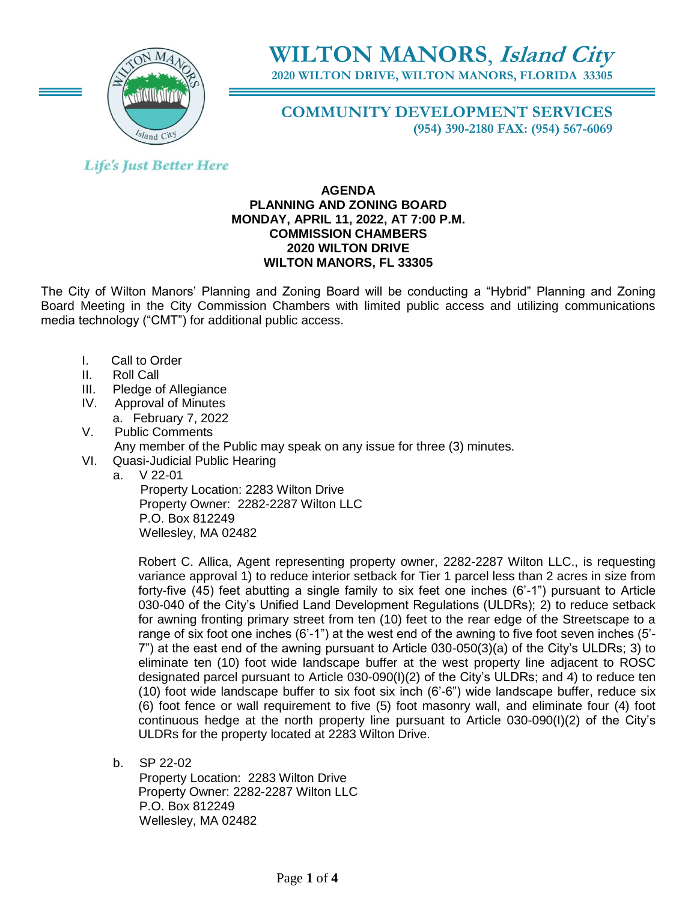

# **WILTON MANORS**, **Island City**

**2020 WILTON DRIVE, WILTON MANORS, FLORIDA 33305**

# **COMMUNITY DEVELOPMENT SERVICES (954) 390-2180 FAX: (954) 567-6069**

# **Life's Just Better Here**

## **AGENDA PLANNING AND ZONING BOARD MONDAY, APRIL 11, 2022, AT 7:00 P.M. COMMISSION CHAMBERS 2020 WILTON DRIVE WILTON MANORS, FL 33305**

The City of Wilton Manors' Planning and Zoning Board will be conducting a "Hybrid" Planning and Zoning Board Meeting in the City Commission Chambers with limited public access and utilizing communications media technology ("CMT") for additional public access.

- I. Call to Order
- II. Roll Call
- III. Pledge of Allegiance
- IV. Approval of Minutes a. February 7, 2022
- V. Public Comments
	- Any member of the Public may speak on any issue for three (3) minutes.
- VI. Quasi-Judicial Public Hearing
	- a. V 22-01

 Property Location: 2283 Wilton Drive Property Owner: 2282-2287 Wilton LLC P.O. Box 812249 Wellesley, MA 02482

Robert C. Allica, Agent representing property owner, 2282-2287 Wilton LLC., is requesting variance approval 1) to reduce interior setback for Tier 1 parcel less than 2 acres in size from forty-five (45) feet abutting a single family to six feet one inches (6'-1") pursuant to Article 030-040 of the City's Unified Land Development Regulations (ULDRs); 2) to reduce setback for awning fronting primary street from ten (10) feet to the rear edge of the Streetscape to a range of six foot one inches (6'-1") at the west end of the awning to five foot seven inches (5'- 7") at the east end of the awning pursuant to Article 030-050(3)(a) of the City's ULDRs; 3) to eliminate ten (10) foot wide landscape buffer at the west property line adjacent to ROSC designated parcel pursuant to Article 030-090(I)(2) of the City's ULDRs; and 4) to reduce ten (10) foot wide landscape buffer to six foot six inch (6'-6") wide landscape buffer, reduce six (6) foot fence or wall requirement to five (5) foot masonry wall, and eliminate four (4) foot continuous hedge at the north property line pursuant to Article 030-090(I)(2) of the City's ULDRs for the property located at 2283 Wilton Drive.

b. SP 22-02

Property Location: 2283 Wilton Drive Property Owner: 2282-2287 Wilton LLC P.O. Box 812249 Wellesley, MA 02482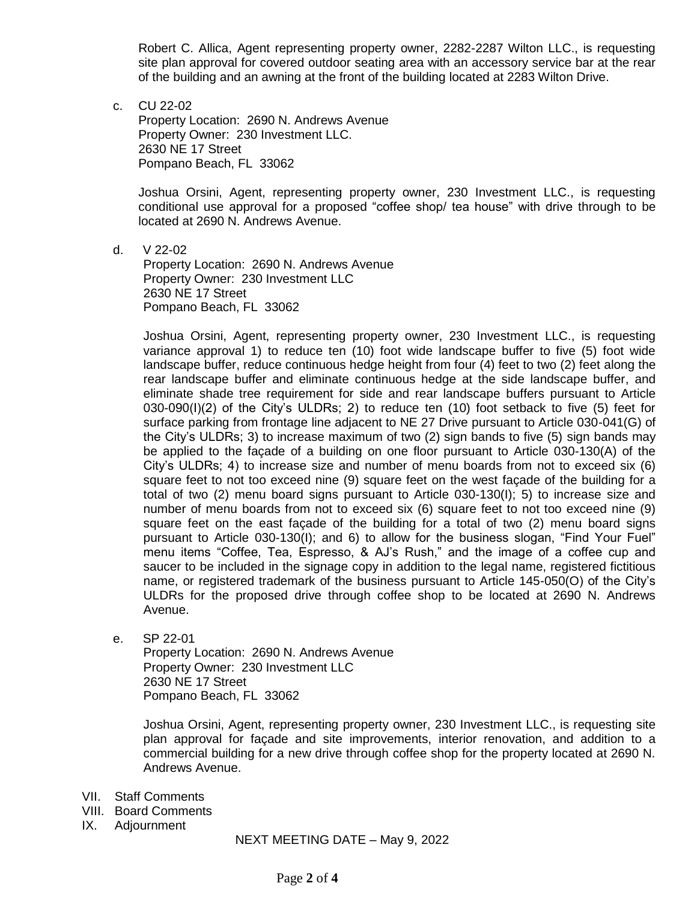Robert C. Allica, Agent representing property owner, 2282-2287 Wilton LLC., is requesting site plan approval for covered outdoor seating area with an accessory service bar at the rear of the building and an awning at the front of the building located at 2283 Wilton Drive.

c. CU 22-02

Property Location: 2690 N. Andrews Avenue Property Owner: 230 Investment LLC. 2630 NE 17 Street Pompano Beach, FL 33062

Joshua Orsini, Agent, representing property owner, 230 Investment LLC., is requesting conditional use approval for a proposed "coffee shop/ tea house" with drive through to be located at 2690 N. Andrews Avenue.

d. V 22-02

Property Location: 2690 N. Andrews Avenue Property Owner: 230 Investment LLC 2630 NE 17 Street Pompano Beach, FL 33062

Joshua Orsini, Agent, representing property owner, 230 Investment LLC., is requesting variance approval 1) to reduce ten (10) foot wide landscape buffer to five (5) foot wide landscape buffer, reduce continuous hedge height from four (4) feet to two (2) feet along the rear landscape buffer and eliminate continuous hedge at the side landscape buffer, and eliminate shade tree requirement for side and rear landscape buffers pursuant to Article  $030-090(1)(2)$  of the City's ULDRs; 2) to reduce ten  $(10)$  foot setback to five  $(5)$  feet for surface parking from frontage line adjacent to NE 27 Drive pursuant to Article 030-041(G) of the City's ULDRs; 3) to increase maximum of two (2) sign bands to five (5) sign bands may be applied to the façade of a building on one floor pursuant to Article 030-130(A) of the City's ULDRs; 4) to increase size and number of menu boards from not to exceed six (6) square feet to not too exceed nine (9) square feet on the west façade of the building for a total of two (2) menu board signs pursuant to Article 030-130(I); 5) to increase size and number of menu boards from not to exceed six (6) square feet to not too exceed nine (9) square feet on the east façade of the building for a total of two (2) menu board signs pursuant to Article 030-130(I); and 6) to allow for the business slogan, "Find Your Fuel" menu items "Coffee, Tea, Espresso, & AJ's Rush," and the image of a coffee cup and saucer to be included in the signage copy in addition to the legal name, registered fictitious name, or registered trademark of the business pursuant to Article 145-050(O) of the City's ULDRs for the proposed drive through coffee shop to be located at 2690 N. Andrews Avenue.

e. SP 22-01

Property Location: 2690 N. Andrews Avenue Property Owner: 230 Investment LLC 2630 NE 17 Street Pompano Beach, FL 33062

Joshua Orsini, Agent, representing property owner, 230 Investment LLC., is requesting site plan approval for façade and site improvements, interior renovation, and addition to a commercial building for a new drive through coffee shop for the property located at 2690 N. Andrews Avenue.

- VII. Staff Comments
- VIII. Board Comments
- IX. Adjournment

NEXT MEETING DATE – May 9, 2022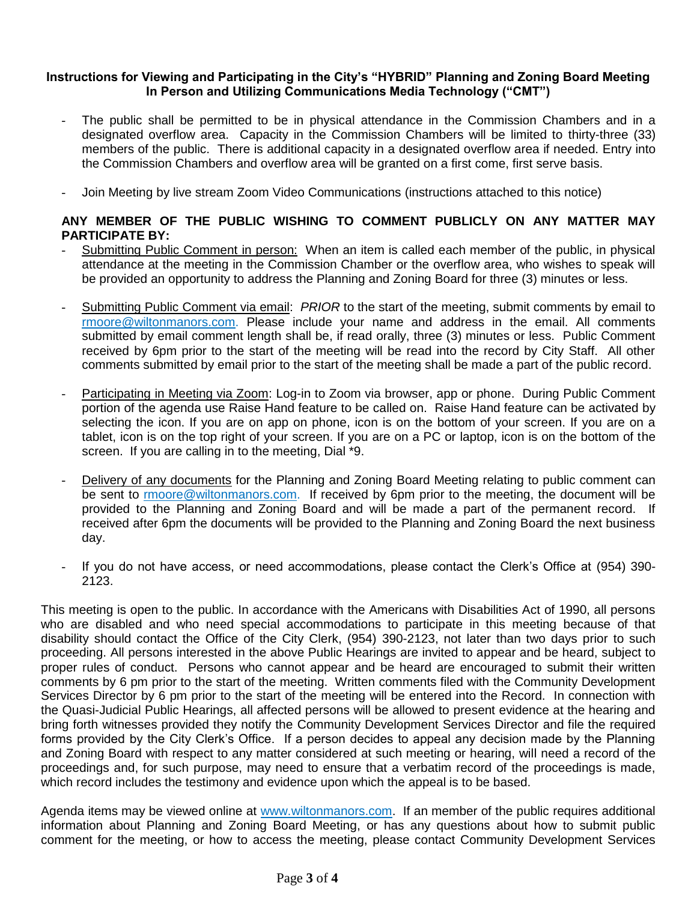### **Instructions for Viewing and Participating in the City's "HYBRID" Planning and Zoning Board Meeting In Person and Utilizing Communications Media Technology ("CMT")**

- The public shall be permitted to be in physical attendance in the Commission Chambers and in a designated overflow area. Capacity in the Commission Chambers will be limited to thirty-three (33) members of the public. There is additional capacity in a designated overflow area if needed. Entry into the Commission Chambers and overflow area will be granted on a first come, first serve basis.
- Join Meeting by live stream Zoom Video Communications (instructions attached to this notice)

## **ANY MEMBER OF THE PUBLIC WISHING TO COMMENT PUBLICLY ON ANY MATTER MAY PARTICIPATE BY:**

- Submitting Public Comment in person: When an item is called each member of the public, in physical attendance at the meeting in the Commission Chamber or the overflow area, who wishes to speak will be provided an opportunity to address the Planning and Zoning Board for three (3) minutes or less.
- Submitting Public Comment via email: *PRIOR* to the start of the meeting, submit comments by email to [rmoore@wiltonmanors.com.](mailto:rmoore@wiltonmanors.com) Please include your name and address in the email. All comments submitted by email comment length shall be, if read orally, three (3) minutes or less. Public Comment received by 6pm prior to the start of the meeting will be read into the record by City Staff. All other comments submitted by email prior to the start of the meeting shall be made a part of the public record.
- Participating in Meeting via Zoom: Log-in to Zoom via browser, app or phone. During Public Comment portion of the agenda use Raise Hand feature to be called on. Raise Hand feature can be activated by selecting the icon. If you are on app on phone, icon is on the bottom of your screen. If you are on a tablet, icon is on the top right of your screen. If you are on a PC or laptop, icon is on the bottom of the screen. If you are calling in to the meeting, Dial \*9.
- Delivery of any documents for the Planning and Zoning Board Meeting relating to public comment can be sent to rmoor[e@wiltonmanors.com.](mailto:publiccomment@wiltonmanors.com) If received by 6pm prior to the meeting, the document will be provided to the Planning and Zoning Board and will be made a part of the permanent record. If received after 6pm the documents will be provided to the Planning and Zoning Board the next business day.
- If you do not have access, or need accommodations, please contact the Clerk's Office at (954) 390- 2123.

This meeting is open to the public. In accordance with the Americans with Disabilities Act of 1990, all persons who are disabled and who need special accommodations to participate in this meeting because of that disability should contact the Office of the City Clerk, (954) 390-2123, not later than two days prior to such proceeding. All persons interested in the above Public Hearings are invited to appear and be heard, subject to proper rules of conduct. Persons who cannot appear and be heard are encouraged to submit their written comments by 6 pm prior to the start of the meeting. Written comments filed with the Community Development Services Director by 6 pm prior to the start of the meeting will be entered into the Record. In connection with the Quasi-Judicial Public Hearings, all affected persons will be allowed to present evidence at the hearing and bring forth witnesses provided they notify the Community Development Services Director and file the required forms provided by the City Clerk's Office. If a person decides to appeal any decision made by the Planning and Zoning Board with respect to any matter considered at such meeting or hearing, will need a record of the proceedings and, for such purpose, may need to ensure that a verbatim record of the proceedings is made, which record includes the testimony and evidence upon which the appeal is to be based.

Agenda items may be viewed online at [www.wiltonmanors.com.](http://www.wiltonmanors.com/) If an member of the public requires additional information about Planning and Zoning Board Meeting, or has any questions about how to submit public comment for the meeting, or how to access the meeting, please contact Community Development Services